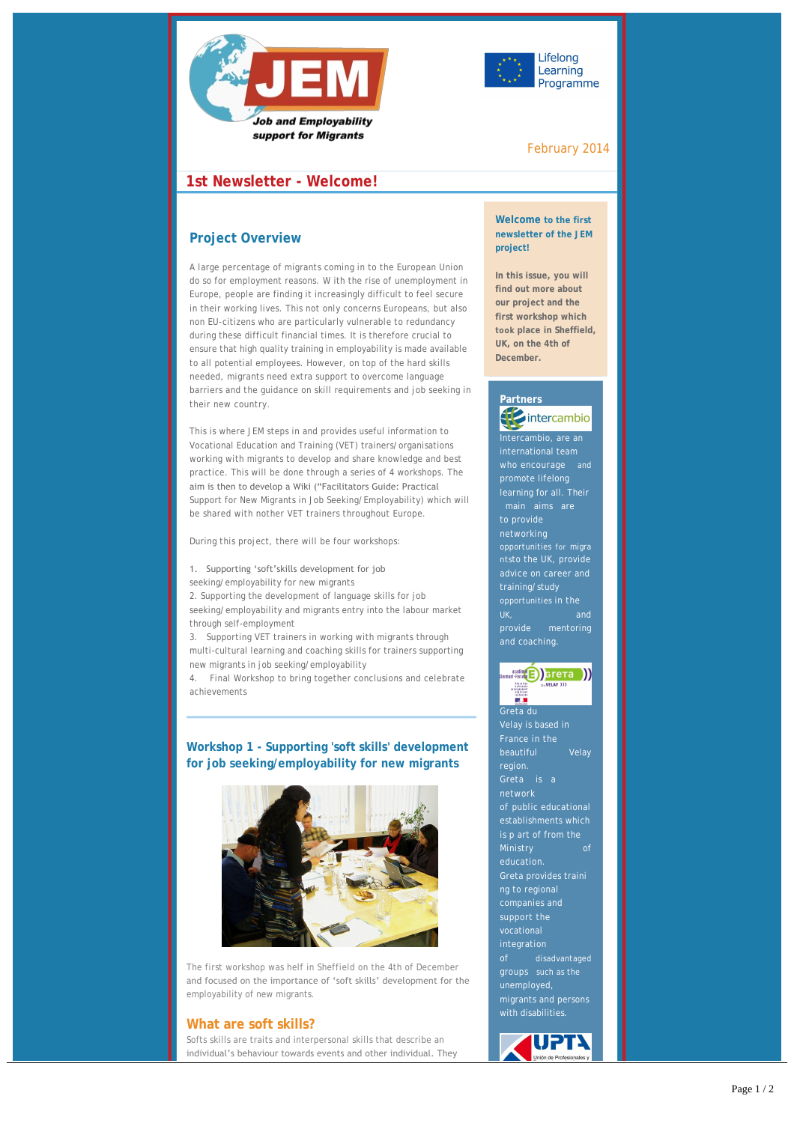



## February 2014

## **1st Newsletter - Welcome!**

## **Project Overview**

A large percentage of migrants coming in to the European Union do so for employment reasons. W ith the rise of unemployment in Europe, people are finding it increasingly difficult to feel secure in their working lives. This not only concerns Europeans, but also non EU-citizens who are particularly vulnerable to redundancy during these difficult financial times. It is therefore crucial to ensure that high quality training in employability is made available to all potential employees. However, on top of the hard skills needed, migrants need extra support to overcome language barriers and the guidance on skill requirements and job seeking in their new country.

This is where JEM steps in and provides useful information to Vocational Education and Training (VET) trainers/organisations working with migrants to develop and share knowledge and best practice. This will be done through a series of 4 workshops. The aim is then to develop a Wiki ("Facilitators Guide: Practical Support for New Migrants in Job Seeking/Employability) which will be shared with nother VET trainers throughout Europe.

During this project, there will be four workshops:

#### 1. Supporting 'soft'skills development for job seeking/employability for new migrants

2. Supporting the development of language skills for job seeking/employability and migrants entry into the labour market through self-employment

3. Supporting VET trainers in working with migrants through multi-cultural learning and coaching skills for trainers supporting new migrants in job seeking/employability

4. Final Workshop to bring together conclusions and celebrate achievements

## **Workshop 1 - Supporting 'soft skills' development for job seeking/employability for new migrants**



The first workshop was helf in Sheffield on the 4th of December and focused on the importance of 'soft skills' development for the employability of new migrants.

#### **What are soft skills?**

Softs skills are traits and interpersonal skills that describe an individual's behaviour towards events and other individual. They

include decision making, creativity, self-confidence and

#### **Welcome to the first newsletter of the JEM project!**

**In this issue, you will find out more about our project and the first workshop which took place in Sheffield, UK, on the 4th of December.**

## **Partners** intercambio

Intercambio, are an promote lifelong learning for all. Their main aims are networking opportunities for migra ntsto the UK, provide advice on career and training/study provide mentoring .<br>and coaching.



Greta du France in the region. network establishments which education. Greta provides traini ng to regional companies and support the integration disadvantaged groups such as the unemployed, migrants and persons